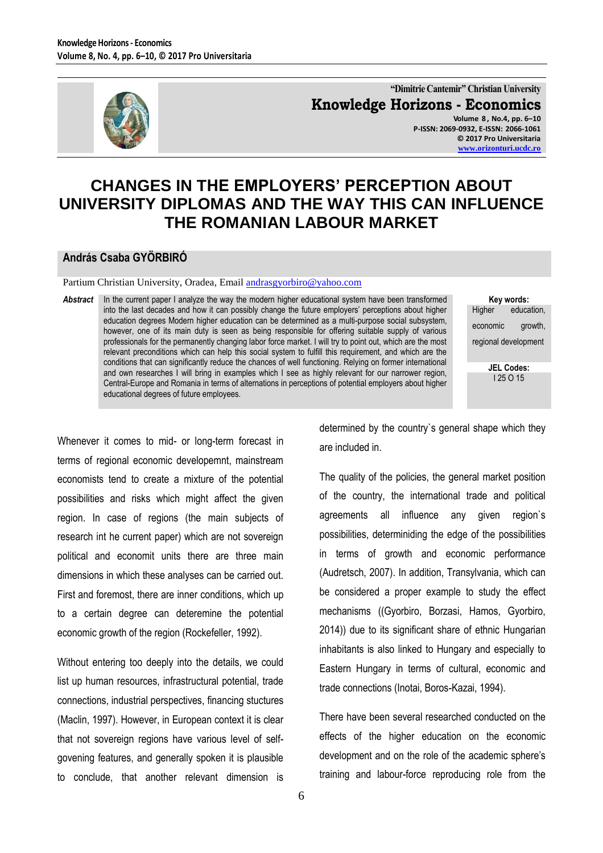

**"Dimitrie Cantemir" Christian University Knowledge Horizons - Economics Volume 8 , No.4, pp. 6–10 P-ISSN: 2069-0932, E-ISSN: 2066-1061 © 2017 Pro Universitaria [www.orizonturi.ucdc.ro](http://www.orizonturi.ucdc.ro/)**

## **CHANGES IN THE EMPLOYERS' PERCEPTION ABOUT UNIVERSITY DIPLOMAS AND THE WAY THIS CAN INFLUENCE THE ROMANIAN LABOUR MARKET**

## **András Csaba GYÖRBIRÓ**

Partium Christian University, Oradea, Email [andrasgyorbiro@yahoo.com](mailto:andrasgyorbiro@yahoo.com)

*Abstract* In the current paper I analyze the way the modern higher educational system have been transformed into the last decades and how it can possibly change the future employers' perceptions about higher education degrees Modern higher education can be determined as a multi-purpose social subsystem, however, one of its main duty is seen as being responsible for offering suitable supply of various professionals for the permanently changing labor force market. I will try to point out, which are the most relevant preconditions which can help this social system to fulfill this requirement, and which are the conditions that can significantly reduce the chances of well functioning. Relying on former international and own researches I will bring in examples which I see as highly relevant for our narrower region, Central-Europe and Romania in terms of alternations in perceptions of potential employers about higher educational degrees of future employees.

**Key words:** Higher education, economic growth, regional development

> **JEL Codes:** I 25 O 15

Whenever it comes to mid- or long-term forecast in terms of regional economic developemnt, mainstream economists tend to create a mixture of the potential possibilities and risks which might affect the given region. In case of regions (the main subjects of research int he current paper) which are not sovereign political and economit units there are three main dimensions in which these analyses can be carried out. First and foremost, there are inner conditions, which up to a certain degree can deteremine the potential economic growth of the region (Rockefeller, 1992).

Without entering too deeply into the details, we could list up human resources, infrastructural potential, trade connections, industrial perspectives, financing stuctures (Maclin, 1997). However, in European context it is clear that not sovereign regions have various level of selfgovening features, and generally spoken it is plausible to conclude, that another relevant dimension is

determined by the country`s general shape which they are included in.

The quality of the policies, the general market position of the country, the international trade and political agreements all influence any given region`s possibilities, determiniding the edge of the possibilities in terms of growth and economic performance (Audretsch, 2007). In addition, Transylvania, which can be considered a proper example to study the effect mechanisms ((Gyorbiro, Borzasi, Hamos, Gyorbiro, 2014)) due to its significant share of ethnic Hungarian inhabitants is also linked to Hungary and especially to Eastern Hungary in terms of cultural, economic and trade connections (Inotai, Boros-Kazai, 1994).

There have been several researched conducted on the effects of the higher education on the economic development and on the role of the academic sphere's training and labour-force reproducing role from the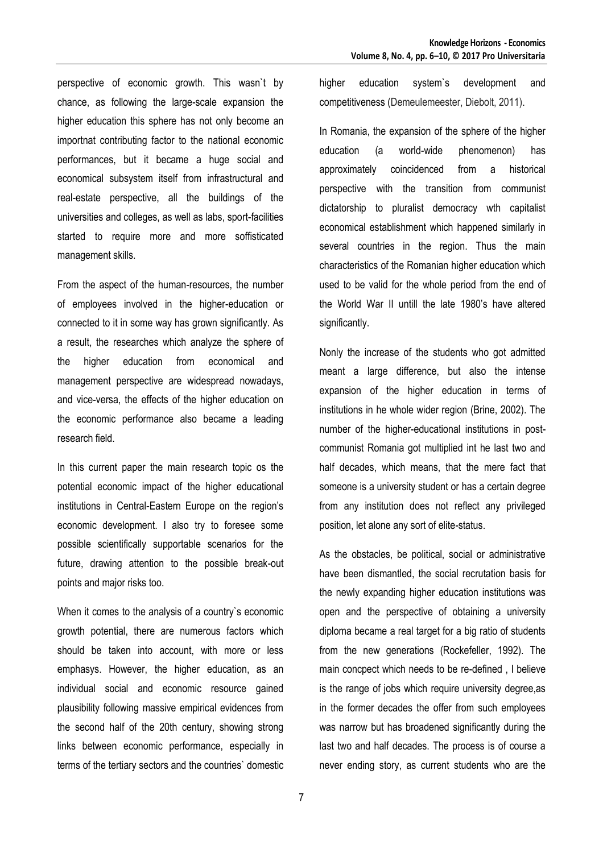perspective of economic growth. This wasn`t by chance, as following the large-scale expansion the higher education this sphere has not only become an importnat contributing factor to the national economic performances, but it became a huge social and economical subsystem itself from infrastructural and real-estate perspective, all the buildings of the universities and colleges, as well as labs, sport-facilities started to require more and more soffisticated management skills.

From the aspect of the human-resources, the number of employees involved in the higher-education or connected to it in some way has grown significantly. As a result, the researches which analyze the sphere of the higher education from economical and management perspective are widespread nowadays, and vice-versa, the effects of the higher education on the economic performance also became a leading research field.

In this current paper the main research topic os the potential economic impact of the higher educational institutions in Central-Eastern Europe on the region's economic development. I also try to foresee some possible scientifically supportable scenarios for the future, drawing attention to the possible break-out points and major risks too.

When it comes to the analysis of a country`s economic growth potential, there are numerous factors which should be taken into account, with more or less emphasys. However, the higher education, as an individual social and economic resource gained plausibility following massive empirical evidences from the second half of the 20th century, showing strong links between economic performance, especially in terms of the tertiary sectors and the countries` domestic higher education system`s development and competitiveness (Demeulemeester, Diebolt, 2011).

In Romania, the expansion of the sphere of the higher education (a world-wide phenomenon) has approximately coincidenced from a historical perspective with the transition from communist dictatorship to pluralist democracy wth capitalist economical establishment which happened similarly in several countries in the region. Thus the main characteristics of the Romanian higher education which used to be valid for the whole period from the end of the World War II untill the late 1980's have altered significantly.

Nonly the increase of the students who got admitted meant a large difference, but also the intense expansion of the higher education in terms of institutions in he whole wider region (Brine, 2002). The number of the higher-educational institutions in postcommunist Romania got multiplied int he last two and half decades, which means, that the mere fact that someone is a university student or has a certain degree from any institution does not reflect any privileged position, let alone any sort of elite-status.

As the obstacles, be political, social or administrative have been dismantled, the social recrutation basis for the newly expanding higher education institutions was open and the perspective of obtaining a university diploma became a real target for a big ratio of students from the new generations (Rockefeller, 1992). The main concpect which needs to be re-defined , I believe is the range of jobs which require university degree,as in the former decades the offer from such employees was narrow but has broadened significantly during the last two and half decades. The process is of course a never ending story, as current students who are the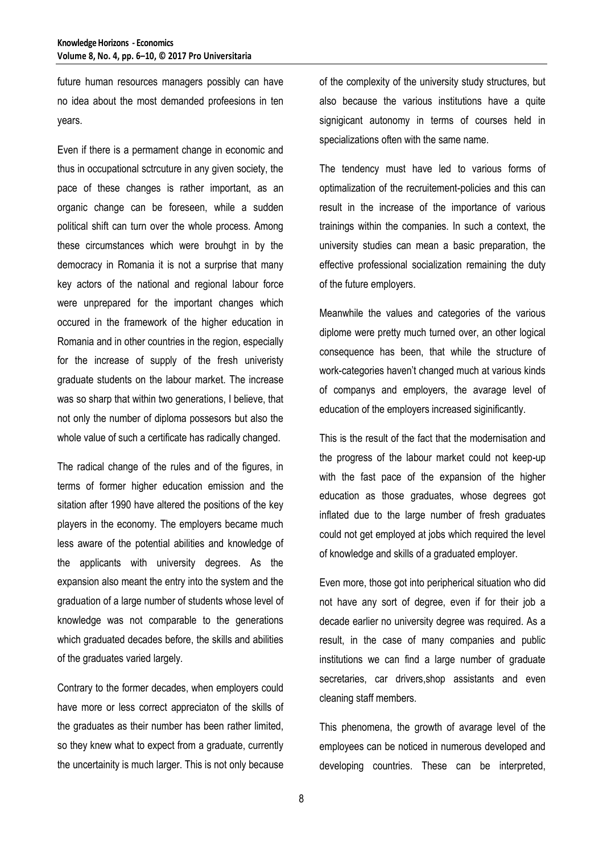future human resources managers possibly can have no idea about the most demanded profeesions in ten years.

Even if there is a permament change in economic and thus in occupational sctrcuture in any given society, the pace of these changes is rather important, as an organic change can be foreseen, while a sudden political shift can turn over the whole process. Among these circumstances which were brouhgt in by the democracy in Romania it is not a surprise that many key actors of the national and regional labour force were unprepared for the important changes which occured in the framework of the higher education in Romania and in other countries in the region, especially for the increase of supply of the fresh univeristy graduate students on the labour market. The increase was so sharp that within two generations, I believe, that not only the number of diploma possesors but also the whole value of such a certificate has radically changed.

The radical change of the rules and of the figures, in terms of former higher education emission and the sitation after 1990 have altered the positions of the key players in the economy. The employers became much less aware of the potential abilities and knowledge of the applicants with university degrees. As the expansion also meant the entry into the system and the graduation of a large number of students whose level of knowledge was not comparable to the generations which graduated decades before, the skills and abilities of the graduates varied largely.

Contrary to the former decades, when employers could have more or less correct appreciaton of the skills of the graduates as their number has been rather limited, so they knew what to expect from a graduate, currently the uncertainity is much larger. This is not only because of the complexity of the university study structures, but also because the various institutions have a quite signigicant autonomy in terms of courses held in specializations often with the same name.

The tendency must have led to various forms of optimalization of the recruitement-policies and this can result in the increase of the importance of various trainings within the companies. In such a context, the university studies can mean a basic preparation, the effective professional socialization remaining the duty of the future employers.

Meanwhile the values and categories of the various diplome were pretty much turned over, an other logical consequence has been, that while the structure of work-categories haven't changed much at various kinds of companys and employers, the avarage level of education of the employers increased siginificantly.

This is the result of the fact that the modernisation and the progress of the labour market could not keep-up with the fast pace of the expansion of the higher education as those graduates, whose degrees got inflated due to the large number of fresh graduates could not get employed at jobs which required the level of knowledge and skills of a graduated employer.

Even more, those got into peripherical situation who did not have any sort of degree, even if for their job a decade earlier no university degree was required. As a result, in the case of many companies and public institutions we can find a large number of graduate secretaries, car drivers,shop assistants and even cleaning staff members.

This phenomena, the growth of avarage level of the employees can be noticed in numerous developed and developing countries. These can be interpreted,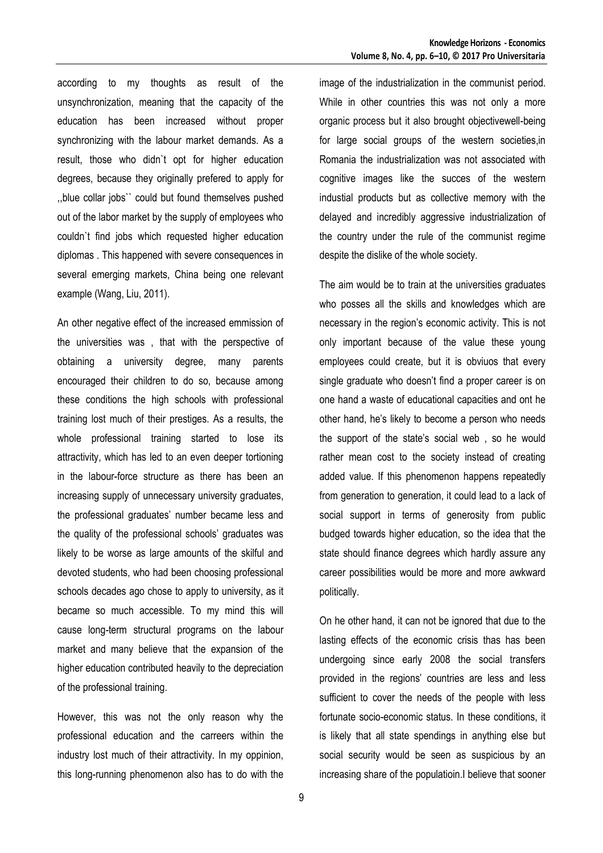according to my thoughts as result of the unsynchronization, meaning that the capacity of the education has been increased without proper synchronizing with the labour market demands. As a result, those who didn`t opt for higher education degrees, because they originally prefered to apply for ,,blue collar jobs`` could but found themselves pushed out of the labor market by the supply of employees who couldn`t find jobs which requested higher education diplomas . This happened with severe consequences in several emerging markets, China being one relevant example (Wang, Liu, 2011).

An other negative effect of the increased emmission of the universities was , that with the perspective of obtaining a university degree, many parents encouraged their children to do so, because among these conditions the high schools with professional training lost much of their prestiges. As a results, the whole professional training started to lose its attractivity, which has led to an even deeper tortioning in the labour-force structure as there has been an increasing supply of unnecessary university graduates, the professional graduates' number became less and the quality of the professional schools' graduates was likely to be worse as large amounts of the skilful and devoted students, who had been choosing professional schools decades ago chose to apply to university, as it became so much accessible. To my mind this will cause long-term structural programs on the labour market and many believe that the expansion of the higher education contributed heavily to the depreciation of the professional training.

However, this was not the only reason why the professional education and the carreers within the industry lost much of their attractivity. In my oppinion, this long-running phenomenon also has to do with the image of the industrialization in the communist period. While in other countries this was not only a more organic process but it also brought objectivewell-being for large social groups of the western societies,in Romania the industrialization was not associated with cognitive images like the succes of the western industial products but as collective memory with the delayed and incredibly aggressive industrialization of the country under the rule of the communist regime despite the dislike of the whole society.

The aim would be to train at the universities graduates who posses all the skills and knowledges which are necessary in the region's economic activity. This is not only important because of the value these young employees could create, but it is obviuos that every single graduate who doesn't find a proper career is on one hand a waste of educational capacities and ont he other hand, he's likely to become a person who needs the support of the state's social web , so he would rather mean cost to the society instead of creating added value. If this phenomenon happens repeatedly from generation to generation, it could lead to a lack of social support in terms of generosity from public budged towards higher education, so the idea that the state should finance degrees which hardly assure any career possibilities would be more and more awkward politically.

On he other hand, it can not be ignored that due to the lasting effects of the economic crisis thas has been undergoing since early 2008 the social transfers provided in the regions' countries are less and less sufficient to cover the needs of the people with less fortunate socio-economic status. In these conditions, it is likely that all state spendings in anything else but social security would be seen as suspicious by an increasing share of the populatioin.I believe that sooner